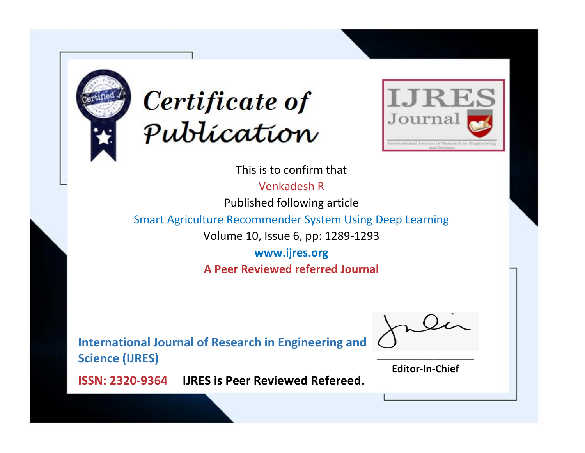



This is to confirm that

Venkadesh R

Published following article

Smart Agriculture Recommender System Using Deep Learning

Volume 10, Issue 6, pp: 1289-1293

**www.ijres.org A Peer Reviewed referred Journal**

**International Journal of Research in Engineering and Science (IJRES)**

\_\_\_\_\_\_\_\_\_\_\_\_\_\_\_\_\_\_\_\_\_\_\_\_ **Editor-In-Chief**

**Journal.**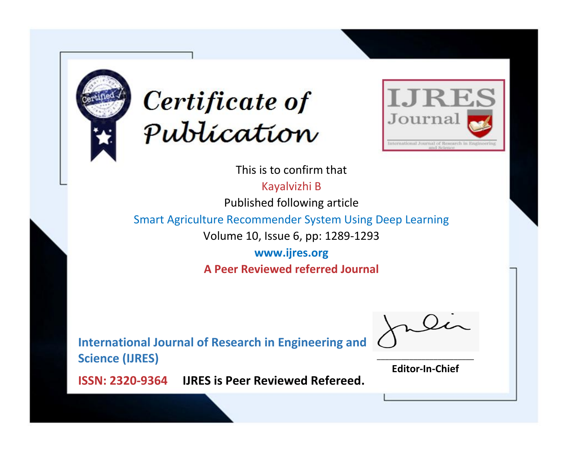



This is to confirm that

Kayalvizhi B

Published following article

Smart Agriculture Recommender System Using Deep Learning

Volume 10, Issue 6, pp: 1289-1293

**www.ijres.org A Peer Reviewed referred Journal**

**International Journal of Research in Engineering and Science (IJRES)**

\_\_\_\_\_\_\_\_\_\_\_\_\_\_\_\_\_\_\_\_\_\_\_\_ **Editor-In-Chief**

**Journal.**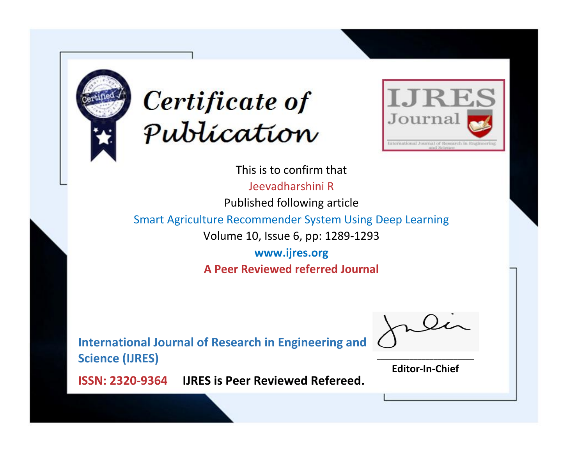



This is to confirm that Jeevadharshini R Published following article Smart Agriculture Recommender System Using Deep Learning Volume 10, Issue 6, pp: 1289-1293 **www.ijres.org A Peer Reviewed referred Journal**

**International Journal of Research in Engineering and Science (IJRES)**

\_\_\_\_\_\_\_\_\_\_\_\_\_\_\_\_\_\_\_\_\_\_\_\_ **Editor-In-Chief**

**Journal.**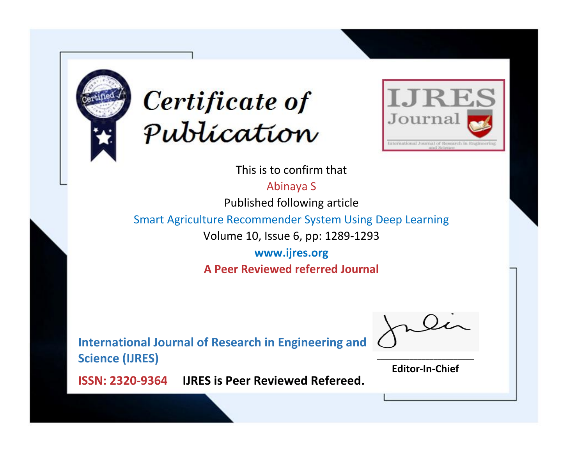



This is to confirm that

Abinaya S

Published following article

Smart Agriculture Recommender System Using Deep Learning

Volume 10, Issue 6, pp: 1289-1293

**www.ijres.org A Peer Reviewed referred Journal**

**International Journal of Research in Engineering and Science (IJRES)**

\_\_\_\_\_\_\_\_\_\_\_\_\_\_\_\_\_\_\_\_\_\_\_\_ **Editor-In-Chief**

**Journal.**